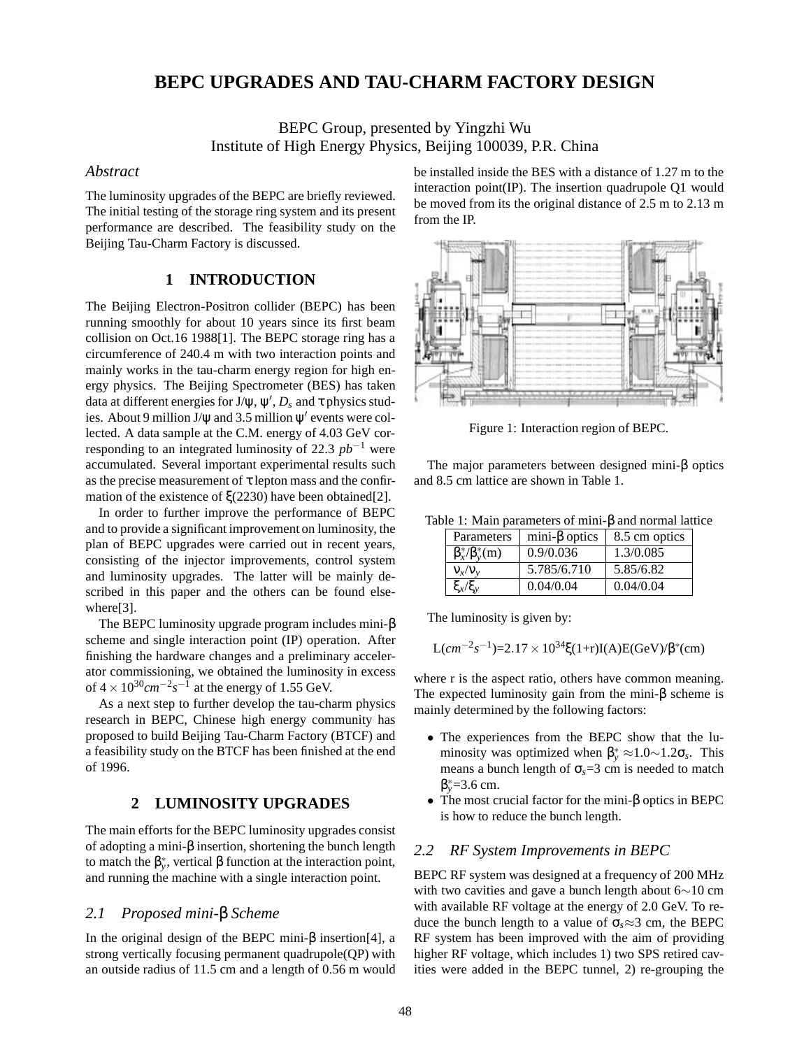# **BEPC UPGRADES AND TAU-CHARM FACTORY DESIGN**

BEPC Group, presented by Yingzhi Wu Institute of High Energy Physics, Beijing 100039, P.R. China

### *Abstract*

The luminosity upgrades of the BEPC are briefly reviewed. The initial testing of the storage ring system and its present performance are described. The feasibility study on the Beijing Tau-Charm Factory is discussed.

## **1 INTRODUCTION**

The Beijing Electron-Positron collider (BEPC) has been running smoothly for about 10 years since its first beam collision on Oct.16 1988[1]. The BEPC storage ring has a circumference of 240.4 m with two interaction points and mainly works in the tau-charm energy region for high energy physics. The Beijing Spectrometer (BES) has taken data at different energies for J/ $\psi, \psi', D_s$  and  $\tau$  physics studies. About 9 million J/ $\psi$  and 3.5 million  $\psi'$  events were collected. A data sample at the C.M. energy of 4.03 GeV corresponding to an integrated luminosity of 22.3 *pb*−<sup>1</sup> were accumulated. Several important experimental results such as the precise measurement of  $\tau$  lepton mass and the confirmation of the existence of ξ(2230) have been obtained[2].

In order to further improve the performance of BEPC and to provide a significant improvement on luminosity, the plan of BEPC upgrades were carried out in recent years, consisting of the injector improvements, control system and luminosity upgrades. The latter will be mainly described in this paper and the others can be found elsewhere[3].

The BEPC luminosity upgrade program includes mini-β scheme and single interaction point (IP) operation. After finishing the hardware changes and a preliminary accelerator commissioning, we obtained the luminosity in excess of  $4 \times 10^{30}$  cm<sup>-2</sup>s<sup>-1</sup> at the energy of 1.55 GeV.

As a next step to further develop the tau-charm physics research in BEPC, Chinese high energy community has proposed to build Beijing Tau-Charm Factory (BTCF) and a feasibility study on the BTCF has been finished at the end of 1996.

### **2 LUMINOSITY UPGRADES**

The main efforts for the BEPC luminosity upgrades consist of adopting a mini-β insertion, shortening the bunch length to match the  $\beta_{y}^{*}$ , vertical  $\beta$  function at the interaction point, and running the machine with a single interaction point.

## *2.1 Proposed mini-*β *Scheme*

In the original design of the BEPC mini-β insertion[4], a strong vertically focusing permanent quadrupole(QP) with an outside radius of 11.5 cm and a length of 0.56 m would be installed inside the BES with a distance of 1.27 m to the interaction point(IP). The insertion quadrupole Q1 would be moved from its the original distance of 2.5 m to 2.13 m from the IP.



Figure 1: Interaction region of BEPC.

The major parameters between designed mini-β optics and 8.5 cm lattice are shown in Table 1.

| Table 1: Main parameters of mini- $\beta$ and normal lattice |  |  |  |  |
|--------------------------------------------------------------|--|--|--|--|
|--------------------------------------------------------------|--|--|--|--|

| Parameters               | mini- $\beta$ optics | 8.5 cm optics |
|--------------------------|----------------------|---------------|
| $\beta_x^*/\beta_y^*(m)$ | 0.9/0.036            | 1.3/0.085     |
| $V_x/V_y$                | 5.785/6.710          | 5.85/6.82     |
| $\xi_x/\xi_y$            | 0.04/0.04            | 0.04/0.04     |

The luminosity is given by:

$$
L(cm^{-2}s^{-1})=2.17\times10^{34}\xi(1+r)I(A)E(GeV)/\beta^{*}(cm)
$$

where r is the aspect ratio, others have common meaning. The expected luminosity gain from the mini-β scheme is mainly determined by the following factors:

- The experiences from the BEPC show that the luminosity was optimized when  $\beta_{y}^{*} \approx 1.0 \sim 1.2 \sigma_{s}$ . This means a bunch length of  $\sigma_s = 3$  cm is needed to match β∗ *<sup>y</sup>*=3.6 cm.
- The most crucial factor for the mini-β optics in BEPC is how to reduce the bunch length.

### *2.2 RF System Improvements in BEPC*

BEPC RF system was designed at a frequency of 200 MHz with two cavities and gave a bunch length about 6∼10 cm with available RF voltage at the energy of 2.0 GeV. To reduce the bunch length to a value of  $\sigma_s \approx 3$  cm, the BEPC RF system has been improved with the aim of providing higher RF voltage, which includes 1) two SPS retired cavities were added in the BEPC tunnel, 2) re-grouping the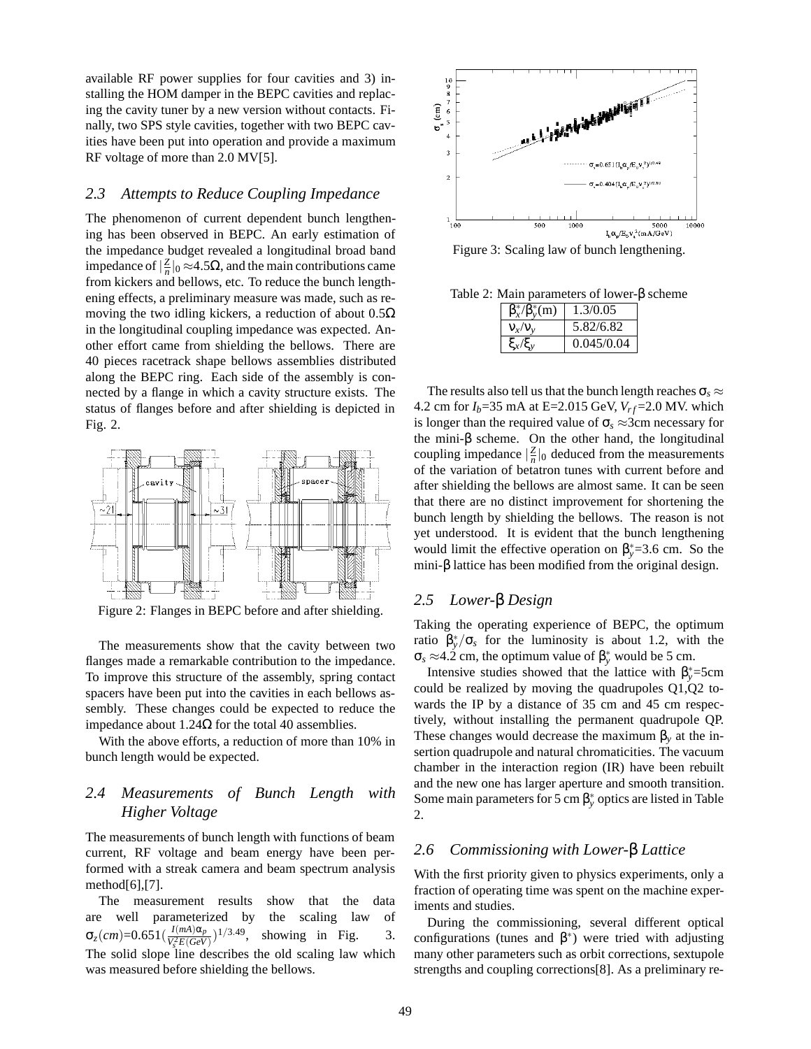available RF power supplies for four cavities and 3) installing the HOM damper in the BEPC cavities and replacing the cavity tuner by a new version without contacts. Finally, two SPS style cavities, together with two BEPC cavities have been put into operation and provide a maximum RF voltage of more than 2.0 MV[5].

### *2.3 Attempts to Reduce Coupling Impedance*

The phenomenon of current dependent bunch lengthening has been observed in BEPC. An early estimation of the impedance budget revealed a longitudinal broad band impedance of  $|\frac{Z}{n}|_0$  ≈4.5Ω, and the main contributions came from kickers and bellows, etc. To reduce the bunch lengthening effects, a preliminary measure was made, such as removing the two idling kickers, a reduction of about  $0.5\Omega$ in the longitudinal coupling impedance was expected. Another effort came from shielding the bellows. There are 40 pieces racetrack shape bellows assemblies distributed along the BEPC ring. Each side of the assembly is connected by a flange in which a cavity structure exists. The status of flanges before and after shielding is depicted in Fig. 2.



Figure 2: Flanges in BEPC before and after shielding.

The measurements show that the cavity between two flanges made a remarkable contribution to the impedance. To improve this structure of the assembly, spring contact spacers have been put into the cavities in each bellows assembly. These changes could be expected to reduce the impedance about 1.24Ω for the total 40 assemblies.

With the above efforts, a reduction of more than 10% in bunch length would be expected.

## *2.4 Measurements of Bunch Length with Higher Voltage*

The measurements of bunch length with functions of beam current, RF voltage and beam energy have been performed with a streak camera and beam spectrum analysis method[6],[7].

The measurement results show that the data are well parameterized by the scaling law of  $\sigma_z$ (*cm*)=0.651( $\frac{I(mA)\alpha_p}{V_s^2E(GeV)}$ showing in Fig.  $3$ . The solid slope line describes the old scaling law which was measured before shielding the bellows.



Figure 3: Scaling law of bunch lengthening.

Table 2: Main parameters of lower-β scheme

| $\beta_{r}^{*}/\beta_{v}^{*}(m)$ | 1.3/0.05   |
|----------------------------------|------------|
| $V_{\rm r}/V_{\rm v}$            | 5.82/6.82  |
|                                  | 0.045/0.04 |

The results also tell us that the bunch length reaches  $\sigma_s \approx$ 4.2 cm for  $I_b$ =35 mA at E=2.015 GeV,  $V_{rf}$ =2.0 MV. which is longer than the required value of  $\sigma_s \approx 3$ cm necessary for the mini- $\beta$  scheme. On the other hand, the longitudinal coupling impedance  $\left|\frac{Z}{n}\right|_0$  deduced from the measurements of the variation of betatron tunes with current before and after shielding the bellows are almost same. It can be seen that there are no distinct improvement for shortening the bunch length by shielding the bellows. The reason is not yet understood. It is evident that the bunch lengthening would limit the effective operation on  $\beta_y^* = 3.6$  cm. So the mini-β lattice has been modified from the original design.

## *2.5 Lower-*β *Design*

Taking the operating experience of BEPC, the optimum ratio  $\beta_y^*/\sigma_s$  for the luminosity is about 1.2, with the  $\sigma_s \approx 4.2$  cm, the optimum value of  $\beta_y^*$  would be 5 cm.

Intensive studies showed that the lattice with  $\beta_{y}^{*}$ =5cm could be realized by moving the quadrupoles Q1,Q2 towards the IP by a distance of 35 cm and 45 cm respectively, without installing the permanent quadrupole QP. These changes would decrease the maximum  $\beta_y$  at the insertion quadrupole and natural chromaticities. The vacuum chamber in the interaction region (IR) have been rebuilt and the new one has larger aperture and smooth transition. Some main parameters for 5 cm  $\beta^*_y$  optics are listed in Table 2.

### *2.6 Commissioning with Lower-*β *Lattice*

With the first priority given to physics experiments, only a fraction of operating time was spent on the machine experiments and studies.

During the commissioning, several different optical configurations (tunes and  $β^*$ ) were tried with adjusting many other parameters such as orbit corrections, sextupole strengths and coupling corrections[8]. As a preliminary re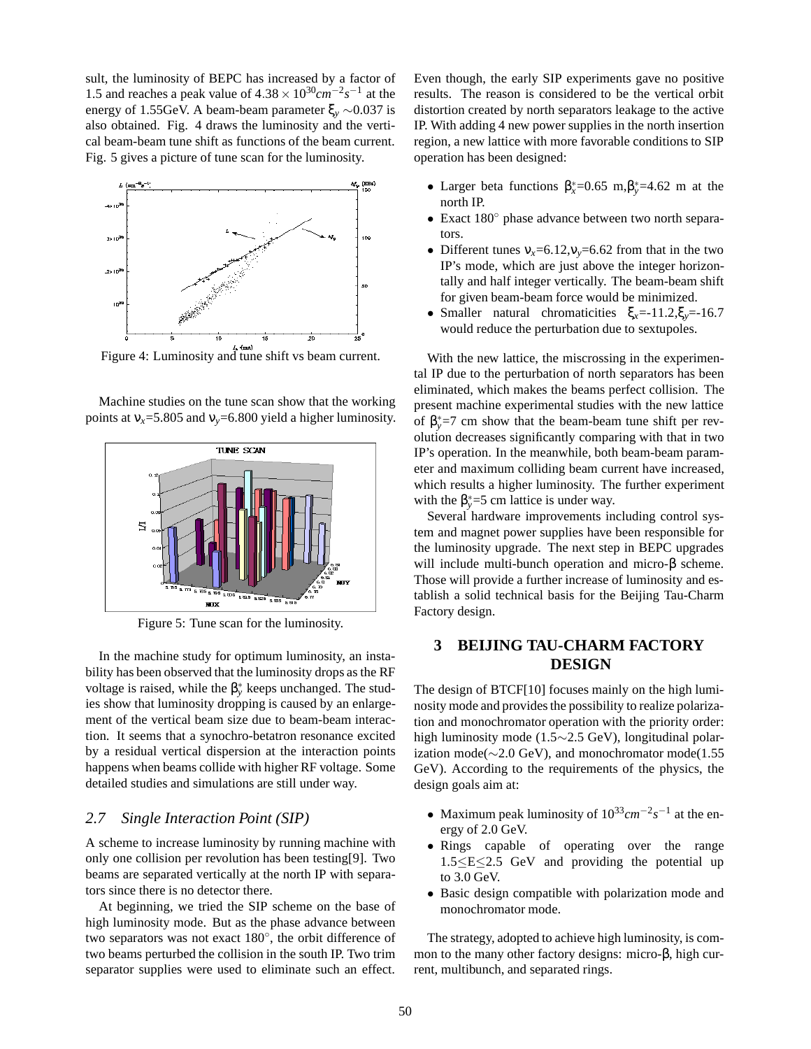sult, the luminosity of BEPC has increased by a factor of 1.5 and reaches a peak value of  $4.38 \times 10^{30}$  cm<sup>-2</sup> $s^{-1}$  at the energy of 1.55GeV. A beam-beam parameter ξ*<sup>y</sup>* ∼0.037 is also obtained. Fig. 4 draws the luminosity and the vertical beam-beam tune shift as functions of the beam current. Fig. 5 gives a picture of tune scan for the luminosity.



Figure 4: Luminosity and tune shift vs beam current.

Machine studies on the tune scan show that the working points at  $v_x = 5.805$  and  $v_y = 6.800$  yield a higher luminosity.



Figure 5: Tune scan for the luminosity.

In the machine study for optimum luminosity, an instability has been observed that the luminosity drops as the RF voltage is raised, while the  $β<sub>y</sub><sup>*</sup>$  keeps unchanged. The studies show that luminosity dropping is caused by an enlargement of the vertical beam size due to beam-beam interaction. It seems that a synochro-betatron resonance excited by a residual vertical dispersion at the interaction points happens when beams collide with higher RF voltage. Some detailed studies and simulations are still under way.

### *2.7 Single Interaction Point (SIP)*

A scheme to increase luminosity by running machine with only one collision per revolution has been testing[9]. Two beams are separated vertically at the north IP with separators since there is no detector there.

At beginning, we tried the SIP scheme on the base of high luminosity mode. But as the phase advance between two separators was not exact 180◦, the orbit difference of two beams perturbed the collision in the south IP. Two trim separator supplies were used to eliminate such an effect.

Even though, the early SIP experiments gave no positive results. The reason is considered to be the vertical orbit distortion created by north separators leakage to the active IP. With adding 4 new power supplies in the north insertion region, a new lattice with more favorable conditions to SIP operation has been designed:

- Larger beta functions  $\beta_x^* = 0.65$  m,  $\beta_y^* = 4.62$  m at the north IP.
- Exact 180◦ phase advance between two north separators.
- Different tunes  $v_x=6.12$ ,  $v_y=6.62$  from that in the two IP's mode, which are just above the integer horizontally and half integer vertically. The beam-beam shift for given beam-beam force would be minimized.
- Smaller natural chromaticities ξ*x*=-11.2,ξ*y*=-16.7 would reduce the perturbation due to sextupoles.

With the new lattice, the miscrossing in the experimental IP due to the perturbation of north separators has been eliminated, which makes the beams perfect collision. The present machine experimental studies with the new lattice of  $\beta_{y}^{*}=7$  cm show that the beam-beam tune shift per revolution decreases significantly comparing with that in two IP's operation. In the meanwhile, both beam-beam parameter and maximum colliding beam current have increased, which results a higher luminosity. The further experiment with the  $\beta_{y}^{*}=5$  cm lattice is under way.

Several hardware improvements including control system and magnet power supplies have been responsible for the luminosity upgrade. The next step in BEPC upgrades will include multi-bunch operation and micro-β scheme. Those will provide a further increase of luminosity and establish a solid technical basis for the Beijing Tau-Charm Factory design.

## **3 BEIJING TAU-CHARM FACTORY DESIGN**

The design of BTCF[10] focuses mainly on the high luminosity mode and provides the possibility to realize polarization and monochromator operation with the priority order: high luminosity mode (1.5∼2.5 GeV), longitudinal polarization mode( $\sim$ 2.0 GeV), and monochromator mode(1.55 GeV). According to the requirements of the physics, the design goals aim at:

- Maximum peak luminosity of 1033*cm*−2*s*−<sup>1</sup> at the energy of 2.0 GeV.
- Rings capable of operating over the range 1.5≤E≤2.5 GeV and providing the potential up to 3.0 GeV.
- Basic design compatible with polarization mode and monochromator mode.

The strategy, adopted to achieve high luminosity, is common to the many other factory designs: micro-β, high current, multibunch, and separated rings.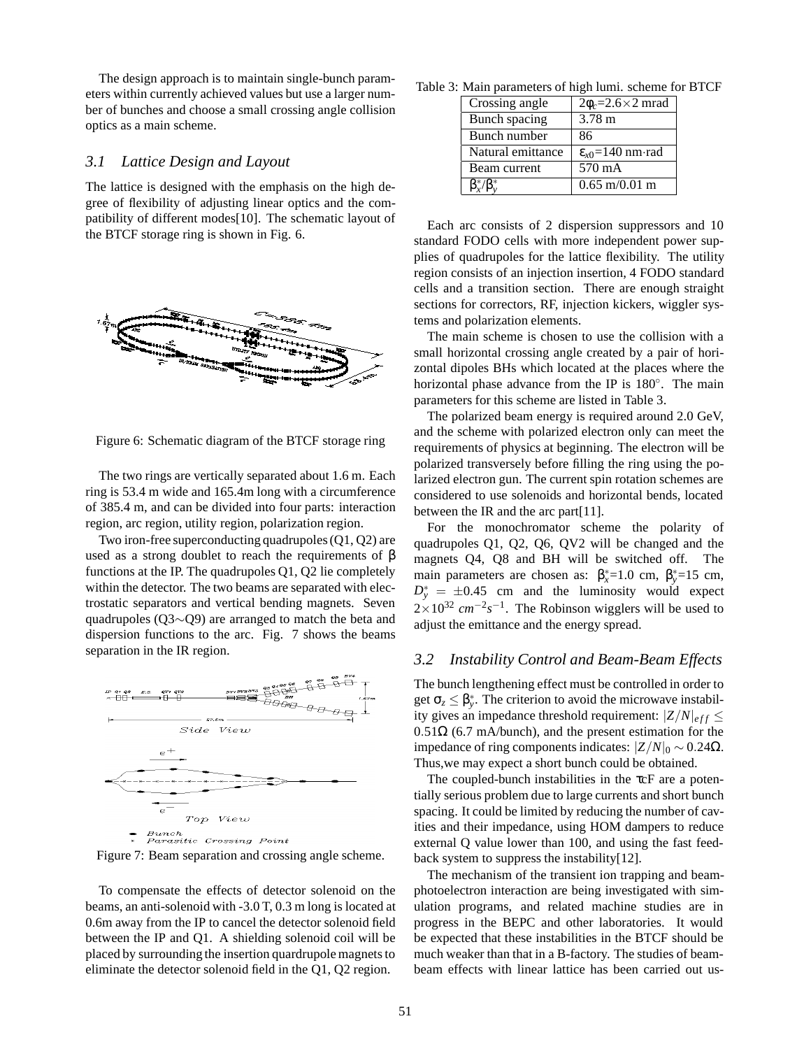The design approach is to maintain single-bunch parameters within currently achieved values but use a larger number of bunches and choose a small crossing angle collision optics as a main scheme.

### *3.1 Lattice Design and Layout*

The lattice is designed with the emphasis on the high degree of flexibility of adjusting linear optics and the compatibility of different modes[10]. The schematic layout of the BTCF storage ring is shown in Fig. 6.



Figure 6: Schematic diagram of the BTCF storage ring

The two rings are vertically separated about 1.6 m. Each ring is 53.4 m wide and 165.4m long with a circumference of 385.4 m, and can be divided into four parts: interaction region, arc region, utility region, polarization region.

Two iron-free superconducting quadrupoles (Q1, Q2) are used as a strong doublet to reach the requirements of β functions at the IP. The quadrupoles Q1, Q2 lie completely within the detector. The two beams are separated with electrostatic separators and vertical bending magnets. Seven quadrupoles (Q3∼Q9) are arranged to match the beta and dispersion functions to the arc. Fig. 7 shows the beams separation in the IR region.



Figure 7: Beam separation and crossing angle scheme.

To compensate the effects of detector solenoid on the beams, an anti-solenoid with -3.0 T, 0.3 m long is located at 0.6m away from the IP to cancel the detector solenoid field between the IP and Q1. A shielding solenoid coil will be placed by surrounding the insertion quardrupole magnets to eliminate the detector solenoid field in the Q1, Q2 region.

Table 3: Main parameters of high lumi. scheme for BTCF

| Crossing angle    | $2\phi_c = 2.6 \times 2$ mrad  |
|-------------------|--------------------------------|
| Bunch spacing     | 3.78 m                         |
| Bunch number      | 86                             |
|                   |                                |
| Natural emittance | $\varepsilon_{x0}$ =140 nm·rad |
| Beam current      | 570 mA                         |

Each arc consists of 2 dispersion suppressors and 10 standard FODO cells with more independent power supplies of quadrupoles for the lattice flexibility. The utility region consists of an injection insertion, 4 FODO standard cells and a transition section. There are enough straight sections for correctors, RF, injection kickers, wiggler systems and polarization elements.

The main scheme is chosen to use the collision with a small horizontal crossing angle created by a pair of horizontal dipoles BHs which located at the places where the horizontal phase advance from the IP is 180°. The main parameters for this scheme are listed in Table 3.

The polarized beam energy is required around 2.0 GeV, and the scheme with polarized electron only can meet the requirements of physics at beginning. The electron will be polarized transversely before filling the ring using the polarized electron gun. The current spin rotation schemes are considered to use solenoids and horizontal bends, located between the IR and the arc part[11].

For the monochromator scheme the polarity of quadrupoles Q1, Q2, Q6, QV2 will be changed and the magnets Q4, Q8 and BH will be switched off. The main parameters are chosen as:  $\beta_x^*$ =1.0 cm,  $\beta_y^*$ =15 cm,  $D_y^* = \pm 0.45$  cm and the luminosity would expect  $2\times10^{32}$  *cm*<sup>−2</sup>*s*<sup>−1</sup>. The Robinson wigglers will be used to adjust the emittance and the energy spread.

### *3.2 Instability Control and Beam-Beam Effects*

The bunch lengthening effect must be controlled in order to get  $\sigma_z \leq \beta_y^*$ . The criterion to avoid the microwave instability gives an impedance threshold requirement:  $|Z/N|_{eff} \le$  $0.51\Omega$  (6.7 mA/bunch), and the present estimation for the impedance of ring components indicates: |*Z*/*N*|<sup>0</sup> ∼ 0.24Ω. Thus,we may expect a short bunch could be obtained.

The coupled-bunch instabilities in the τcF are a potentially serious problem due to large currents and short bunch spacing. It could be limited by reducing the number of cavities and their impedance, using HOM dampers to reduce external Q value lower than 100, and using the fast feedback system to suppress the instability[12].

The mechanism of the transient ion trapping and beamphotoelectron interaction are being investigated with simulation programs, and related machine studies are in progress in the BEPC and other laboratories. It would be expected that these instabilities in the BTCF should be much weaker than that in a B-factory. The studies of beambeam effects with linear lattice has been carried out us